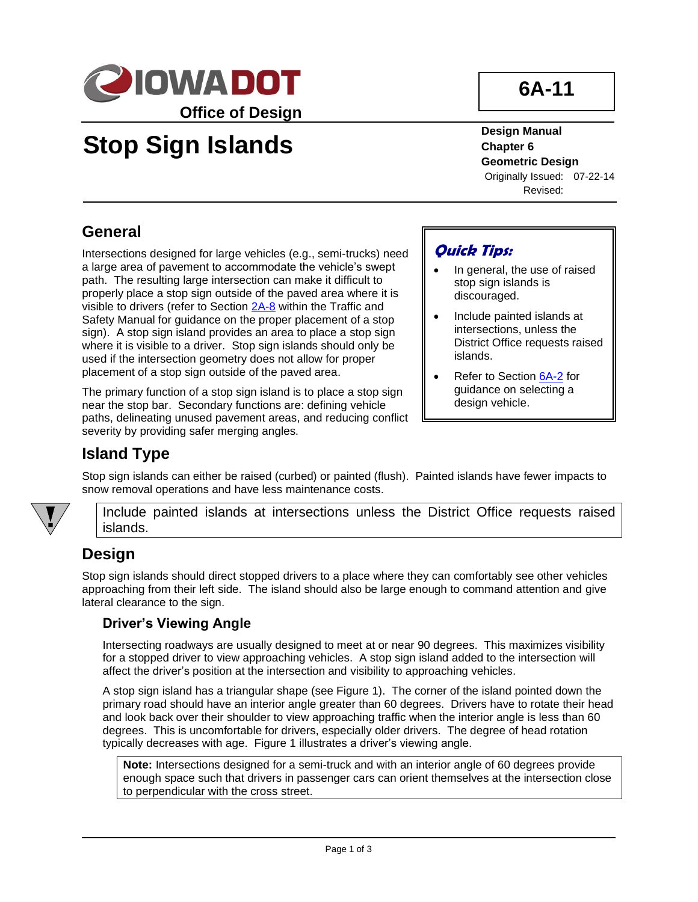

# **Stop Sign Islands**

**Design Manual Chapter 6 Geometric Design** Originally Issued: 07-22-14 Revised:

**6A-11**

# **General**

Intersections designed for large vehicles (e.g., semi-trucks) need a large area of pavement to accommodate the vehicle's swept path. The resulting large intersection can make it difficult to properly place a stop sign outside of the paved area where it is visible to drivers (refer to Section [2A-8](https://iowadot.gov/traffic/manuals/pdf/02a-08.pdf) within the Traffic and Safety Manual for guidance on the proper placement of a stop sign). A stop sign island provides an area to place a stop sign where it is visible to a driver. Stop sign islands should only be used if the intersection geometry does not allow for proper placement of a stop sign outside of the paved area.

The primary function of a stop sign island is to place a stop sign near the stop bar. Secondary functions are: defining vehicle paths, delineating unused pavement areas, and reducing conflict severity by providing safer merging angles.

### **Quick Tips:**

- In general, the use of raised stop sign islands is discouraged.
- Include painted islands at intersections, unless the District Office requests raised islands.
- Refer to Section [6A-2](06a-02.pdf) for guidance on selecting a design vehicle.

# **Island Type**

Stop sign islands can either be raised (curbed) or painted (flush). Painted islands have fewer impacts to snow removal operations and have less maintenance costs.



Include painted islands at intersections unless the District Office requests raised islands.

# **Design**

Stop sign islands should direct stopped drivers to a place where they can comfortably see other vehicles approaching from their left side. The island should also be large enough to command attention and give lateral clearance to the sign.

#### **Driver's Viewing Angle**

Intersecting roadways are usually designed to meet at or near 90 degrees. This maximizes visibility for a stopped driver to view approaching vehicles. A stop sign island added to the intersection will affect the driver's position at the intersection and visibility to approaching vehicles.

A stop sign island has a triangular shape (see Figure 1). The corner of the island pointed down the primary road should have an interior angle greater than 60 degrees. Drivers have to rotate their head and look back over their shoulder to view approaching traffic when the interior angle is less than 60 degrees. This is uncomfortable for drivers, especially older drivers. The degree of head rotation typically decreases with age. Figure 1 illustrates a driver's viewing angle.

**Note:** Intersections designed for a semi-truck and with an interior angle of 60 degrees provide enough space such that drivers in passenger cars can orient themselves at the intersection close to perpendicular with the cross street.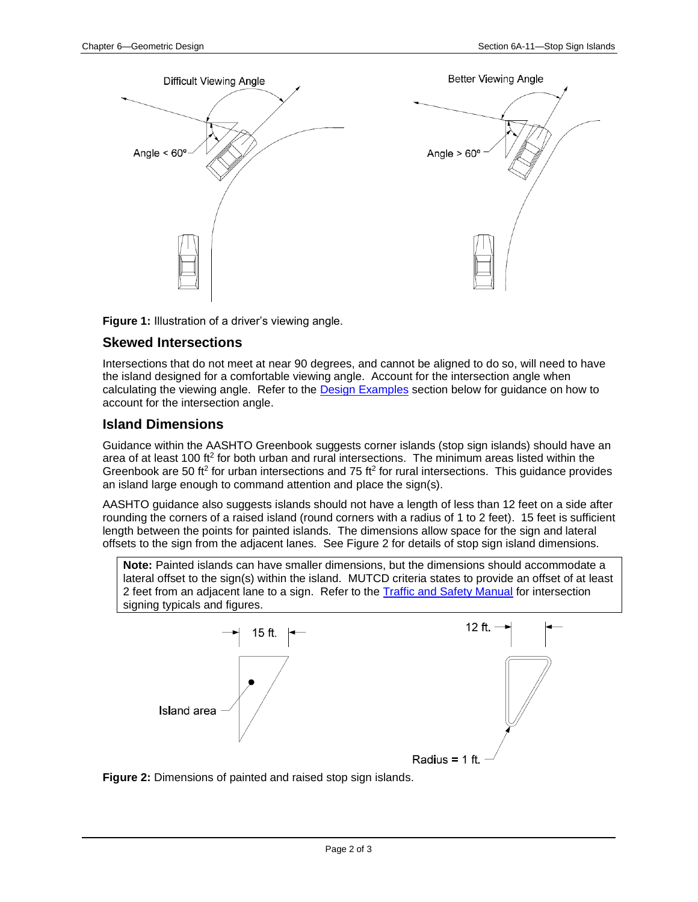



**Figure 1:** Illustration of a driver's viewing angle.

#### **Skewed Intersections**

Intersections that do not meet at near 90 degrees, and cannot be aligned to do so, will need to have the island designed for a comfortable viewing angle. Account for the intersection angle when calculating the viewing angle. Refer to the [Design Examples](#page-2-0) section below for guidance on how to account for the intersection angle.

#### **Island Dimensions**

Guidance within the AASHTO Greenbook suggests corner islands (stop sign islands) should have an area of at least 100 ft<sup>2</sup> for both urban and rural intersections. The minimum areas listed within the Greenbook are 50 ft<sup>2</sup> for urban intersections and 75 ft<sup>2</sup> for rural intersections. This guidance provides an island large enough to command attention and place the sign(s).

AASHTO guidance also suggests islands should not have a length of less than 12 feet on a side after rounding the corners of a raised island (round corners with a radius of 1 to 2 feet). 15 feet is sufficient length between the points for painted islands. The dimensions allow space for the sign and lateral offsets to the sign from the adjacent lanes. See Figure 2 for details of stop sign island dimensions.

**Note:** Painted islands can have smaller dimensions, but the dimensions should accommodate a lateral offset to the sign(s) within the island. MUTCD criteria states to provide an offset of at least 2 feet from an adjacent lane to a sign. Refer to the [Traffic and Safety Manual](https://iowadot.gov/traffic/Library/Traffic-and-Safety-Manual) for intersection signing typicals and figures.



**Figure 2:** Dimensions of painted and raised stop sign islands.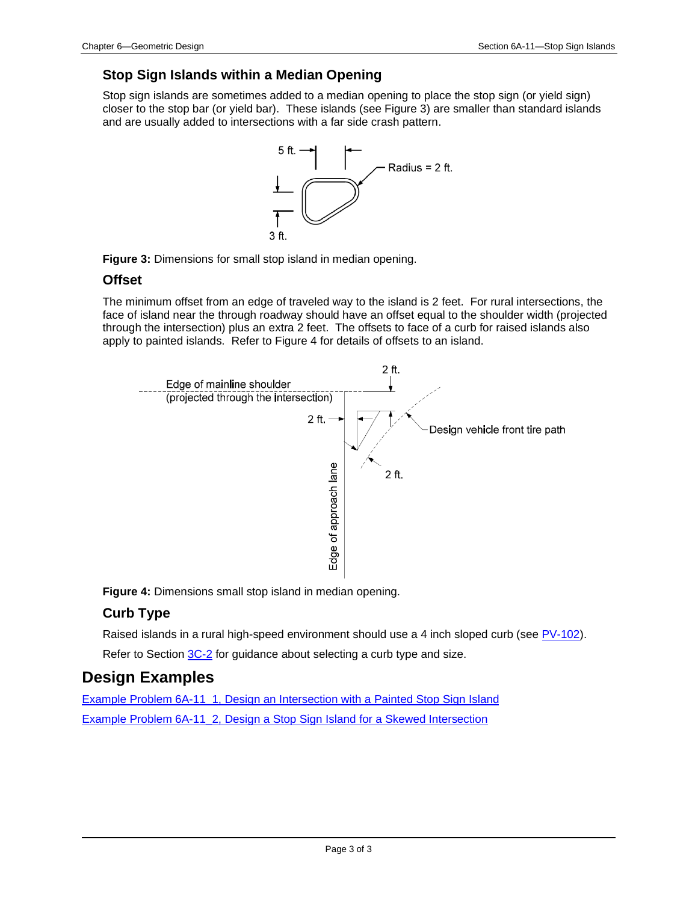#### **Stop Sign Islands within a Median Opening**

Stop sign islands are sometimes added to a median opening to place the stop sign (or yield sign) closer to the stop bar (or yield bar). These islands (see Figure 3) are smaller than standard islands and are usually added to intersections with a far side crash pattern.





#### **Offset**

The minimum offset from an edge of traveled way to the island is 2 feet. For rural intersections, the face of island near the through roadway should have an offset equal to the shoulder width (projected through the intersection) plus an extra 2 feet. The offsets to face of a curb for raised islands also apply to painted islands. Refer to Figure 4 for details of offsets to an island.



**Figure 4:** Dimensions small stop island in median opening.

### **Curb Type**

Raised islands in a rural high-speed environment should use a 4 inch sloped curb (see [PV-102\)](../SRP/IndividualStandards/pv102.pdf).

Refer to Section [3C-2](03c-02.pdf) for guidance about selecting a curb type and size.

## <span id="page-2-0"></span>**Design Examples**

[Example Problem 6A-11\\_1, Design an Intersection with a Painted Stop Sign Island](06A-11/ExampleProblem6A-11_1.pdf) [Example Problem 6A-11\\_2, Design a Stop Sign Island](06A-11/ExampleProblem6A-11_2.pdf) for a Skewed Intersection